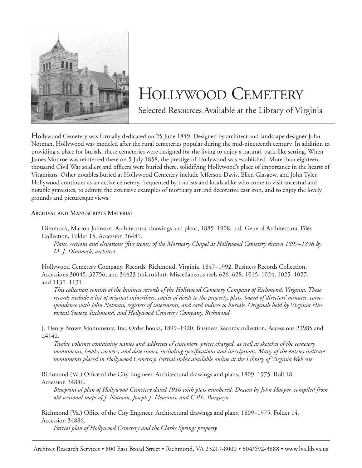

## HOLLYWOOD CEMETERY

Selected Resources Available at the Library of Virginia

**H**ollywood Cemetery was formally dedicated on 25 June 1849. Designed by architect and landscape designer John Notman, Hollywood was modeled after the rural cemeteries popular during the mid-nineteenth century. In addition to providing a place for burials, these cemeteries were designed for the living to enjoy a natural, park-like setting. When James Monroe was reinterred there on 5 July 1858, the prestige of Hollywood was established. More than eighteen thousand Civil War soldiers and officers were buried there, solidifying Hollywood's place of importance in the hearts of Virginians. Other notables buried at Hollywood Cemetery include Jefferson Davis, Ellen Glasgow, and John Tyler. Hollywood continues as an active cemetery, frequented by tourists and locals alike who come to visit ancestral and notable gravesites, to admire the extensive examples of mortuary art and decorative cast iron, and to enjoy the lovely grounds and picturesque views.

**ARCHIVAL AND MANUSCRIPTS MATERIAL**

Dimmock, Marion Johnson. Architectural drawings and plans, 1885–1908, n.d. General Architectural Files Collection, Folder 15, Accession 36481.

*Plans, sections and elevations (five items) of the Mortuary Chapel at Hollywood Cemetery drawn 1897–1898 by M. J. Dimmock, architect.*

Hollywood Cemetery Company. Records: Richmond, Virginia, 1847–1992. Business Records Collection, Accessions 30045, 32756, and 34423 (microfilm). Miscellaneous reels 626–628, 1015–1024, 1025–1027, and 1130–1131.

*This collection consists of the business records of the Hollywood Cemetery Company of Richmond, Virginia. These records include a list of original subscribers, copies of deeds to the property, plats, board of directors' minutes, correspondence with John Notman, registers of interments, and card indices to burials. Originals held by Virginia Historical Society, Richmond, and Hollywood Cemetery Company, Richmond.*

J. Henry Brown Monuments, Inc. Order books, 1899–1920. Business Records collection, Accessions 23985 and 24142.

*Twelve volumes containing names and addresses of customers, prices charged, as well as sketches of the cemetery monuments, head-, corner-, and date stones, including specifications and inscriptions. Many of the entries indicate monuments placed in Hollywood Cemetery. Partial index available online at the Library of Virginia Web site.*

Richmond (Va.) Office of the City Engineer. Architectural drawings and plans, 1809–1975. Roll 18, Accession 34886.

*Blueprint of plan of Hollywood Cemetery dated 1910 with plots numbered. Drawn by John Hooper, compiled from old sectional maps of J. Notman, Joseph J. Pleasants, and C.P.E. Burgwyn.* 

Richmond (Va.) Office of the City Engineer. Architectural drawings and plans, 1809–1975. Folder 14, Accession 34886.

*Partial plan of Hollywood Cemetery and the Clarke Springs property.*